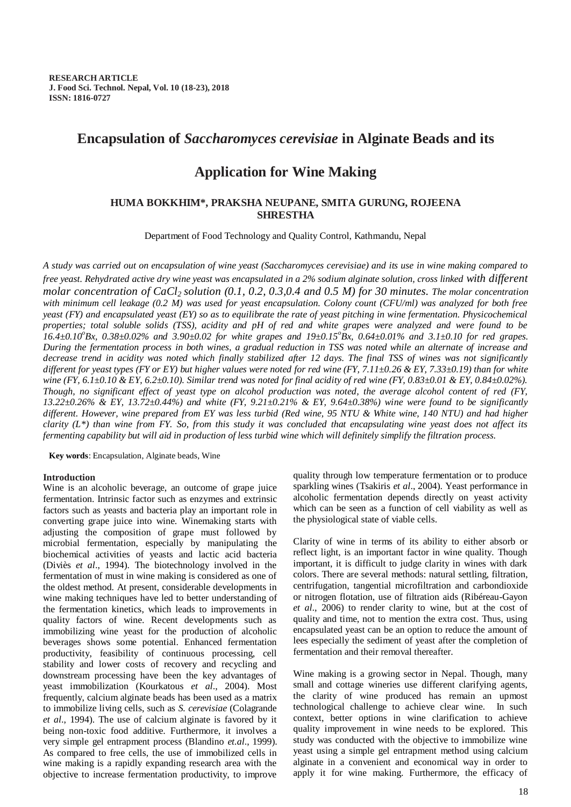# **Encapsulation of** *Saccharomyces cerevisiae* **in Alginate Beads and its**

# **Application for Wine Making**

## **HUMA BOKKHIM\*, PRAKSHA NEUPANE, SMITA GURUNG, ROJEENA SHRESTHA**

Department of Food Technology and Quality Control, Kathmandu, Nepal

*A study was carried out on encapsulation of wine yeast (Saccharomyces cerevisiae) and its use in wine making compared to free yeast. Rehydrated active dry wine yeast was encapsulated in a 2% sodium alginate solution, cross linked with different molar concentration of CaCl2 solution (0.1, 0.2, 0.3,0.4 and 0.5 M) for 30 minutes. The molar concentration with minimum cell leakage (0.2 M) was used for yeast encapsulation. Colony count (CFU/ml) was analyzed for both free yeast (FY) and encapsulated yeast (EY) so as to equilibrate the rate of yeast pitching in wine fermentation. Physicochemical properties; total soluble solids (TSS), acidity and pH of red and white grapes were analyzed and were found to be 16.4±0.10<sup>o</sup> Bx, 0.38±0.02% and 3.90±0.02 for white grapes and 19±0.15<sup>o</sup> Bx, 0.64±0.01% and 3.1±0.10 for red grapes. During the fermentation process in both wines, a gradual reduction in TSS was noted while an alternate of increase and decrease trend in acidity was noted which finally stabilized after 12 days. The final TSS of wines was not significantly different for yeast types (FY or EY) but higher values were noted for red wine (FY, 7.11±0.26 & EY, 7.33±0.19) than for white wine (FY, 6.1±0.10 & EY, 6.2±0.10). Similar trend was noted for final acidity of red wine (FY, 0.83±0.01 & EY, 0.84±0.02%). Though, no significant effect of yeast type on alcohol production was noted, the average alcohol content of red (FY, 13.22±0.26% & EY, 13.72±0.44%) and white (FY, 9.21±0.21% & EY, 9.64±0.38%) wine were found to be significantly different. However, wine prepared from EY was less turbid (Red wine, 95 NTU & White wine, 140 NTU) and had higher clarity (L\*) than wine from FY. So, from this study it was concluded that encapsulating wine yeast does not affect its fermenting capability but will aid in production of less turbid wine which will definitely simplify the filtration process.* 

**Key words**: Encapsulation, Alginate beads, Wine

## **Introduction**

Wine is an alcoholic beverage, an outcome of grape juice fermentation. Intrinsic factor such as enzymes and extrinsic factors such as yeasts and bacteria play an important role in converting grape juice into wine. Winemaking starts with adjusting the composition of grape must followed by microbial fermentation, especially by manipulating the biochemical activities of yeasts and lactic acid bacteria (Diviès *et al*., 1994). The biotechnology involved in the fermentation of must in wine making is considered as one of the oldest method. At present, considerable developments in wine making techniques have led to better understanding of the fermentation kinetics, which leads to improvements in quality factors of wine. Recent developments such as immobilizing wine yeast for the production of alcoholic beverages shows some potential. Enhanced fermentation productivity, feasibility of continuous processing, cell stability and lower costs of recovery and recycling and downstream processing have been the key advantages of yeast immobilization (Kourkatous *et al*., 2004). Most frequently, calcium alginate beads has been used as a matrix to immobilize living cells, such as *S. cerevisiae* (Colagrande *et al*., 1994). The use of calcium alginate is favored by it being non-toxic food additive. Furthermore, it involves a very simple gel entrapment process (Blandino *et.al*., 1999). As compared to free cells, the use of immobilized cells in wine making is a rapidly expanding research area with the objective to increase fermentation productivity, to improve

quality through low temperature fermentation or to produce sparkling wines (Tsakiris *et al*., 2004). Yeast performance in alcoholic fermentation depends directly on yeast activity which can be seen as a function of cell viability as well as the physiological state of viable cells.

Clarity of wine in terms of its ability to either absorb or reflect light, is an important factor in wine quality. Though important, it is difficult to judge clarity in wines with dark colors. There are several methods: natural settling, filtration, centrifugation, tangential microfiltration and carbondioxide or nitrogen flotation, use of filtration aids (Ribéreau-Gayon *et al*., 2006) to render clarity to wine, but at the cost of quality and time, not to mention the extra cost. Thus, using encapsulated yeast can be an option to reduce the amount of lees especially the sediment of yeast after the completion of fermentation and their removal thereafter.

Wine making is a growing sector in Nepal. Though, many small and cottage wineries use different clarifying agents, the clarity of wine produced has remain an upmost technological challenge to achieve clear wine. In such context, better options in wine clarification to achieve quality improvement in wine needs to be explored. This study was conducted with the objective to immobilize wine yeast using a simple gel entrapment method using calcium alginate in a convenient and economical way in order to apply it for wine making. Furthermore, the efficacy of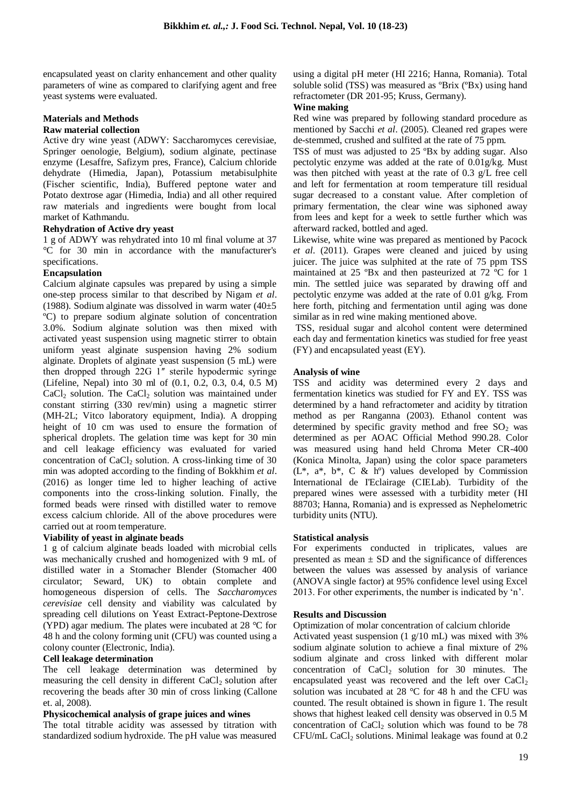encapsulated yeast on clarity enhancement and other quality parameters of wine as compared to clarifying agent and free yeast systems were evaluated.

# **Materials and Methods**

## **Raw material collection**

Active dry wine yeast (ADWY: Saccharomyces cerevisiae, Springer oenologie, Belgium), sodium alginate, pectinase enzyme (Lesaffre, Safizym pres, France), Calcium chloride dehydrate (Himedia, Japan), Potassium metabisulphite (Fischer scientific, India), Buffered peptone water and Potato dextrose agar (Himedia, India) and all other required raw materials and ingredients were bought from local market of Kathmandu.

## **Rehydration of Active dry yeast**

1 g of ADWY was rehydrated into 10 ml final volume at 37 °C for 30 min in accordance with the manufacturer's specifications.

## **Encapsulation**

Calcium alginate capsules was prepared by using a simple one-step process similar to that described by Nigam *et al*. (1988). Sodium alginate was dissolved in warm water  $(40\pm5)$ ºC) to prepare sodium alginate solution of concentration 3.0%. Sodium alginate solution was then mixed with activated yeast suspension using magnetic stirrer to obtain uniform yeast alginate suspension having 2% sodium alginate. Droplets of alginate yeast suspension (5 mL) were then dropped through 22G 1" sterile hypodermic syringe (Lifeline, Nepal) into 30 ml of (0.1, 0.2, 0.3, 0.4, 0.5 M)  $CaCl<sub>2</sub>$  solution. The  $CaCl<sub>2</sub>$  solution was maintained under constant stirring (330 rev/min) using a magnetic stirrer (MH-2L; Vitco laboratory equipment, India). A dropping height of 10 cm was used to ensure the formation of spherical droplets. The gelation time was kept for 30 min and cell leakage efficiency was evaluated for varied concentration of  $CaCl<sub>2</sub>$  solution. A cross-linking time of 30 min was adopted according to the finding of Bokkhim *et al*. (2016) as longer time led to higher leaching of active components into the cross-linking solution. Finally, the formed beads were rinsed with distilled water to remove excess calcium chloride. All of the above procedures were carried out at room temperature.

## **Viability of yeast in alginate beads**

1 g of calcium alginate beads loaded with microbial cells was mechanically crushed and homogenized with 9 mL of distilled water in a Stomacher Blender (Stomacher 400 circulator; Seward, UK) to obtain complete and homogeneous dispersion of cells. The *Saccharomyces cerevisiae* cell density and viability was calculated by spreading cell dilutions on Yeast Extract-Peptone-Dextrose (YPD) agar medium. The plates were incubated at 28 °C for 48 h and the colony forming unit (CFU) was counted using a colony counter (Electronic, India).

## **Cell leakage determination**

The cell leakage determination was determined by measuring the cell density in different  $CaCl<sub>2</sub>$  solution after recovering the beads after 30 min of cross linking (Callone et. al, 2008).

#### **Physicochemical analysis of grape juices and wines**

The total titrable acidity was assessed by titration with standardized sodium hydroxide. The pH value was measured using a digital pH meter (HI 2216; Hanna, Romania). Total soluble solid (TSS) was measured as ºBrix (ºBx) using hand refractometer (DR 201-95; Kruss, Germany).

#### **Wine making**

Red wine was prepared by following standard procedure as mentioned by Sacchi *et al*. (2005). Cleaned red grapes were de-stemmed, crushed and sulfited at the rate of 75 ppm.

TSS of must was adjusted to 25 ºBx by adding sugar. Also pectolytic enzyme was added at the rate of 0.01g/kg. Must was then pitched with yeast at the rate of 0.3 g/L free cell and left for fermentation at room temperature till residual sugar decreased to a constant value. After completion of primary fermentation, the clear wine was siphoned away from lees and kept for a week to settle further which was afterward racked, bottled and aged.

Likewise, white wine was prepared as mentioned by Pacock *et al*. (2011). Grapes were cleaned and juiced by using juicer. The juice was sulphited at the rate of 75 ppm TSS maintained at 25 ºBx and then pasteurized at 72 ºC for 1 min. The settled juice was separated by drawing off and pectolytic enzyme was added at the rate of 0.01 g/kg. From here forth, pitching and fermentation until aging was done similar as in red wine making mentioned above.

TSS, residual sugar and alcohol content were determined each day and fermentation kinetics was studied for free yeast (FY) and encapsulated yeast (EY).

## **Analysis of wine**

TSS and acidity was determined every 2 days and fermentation kinetics was studied for FY and EY. TSS was determined by a hand refractometer and acidity by titration method as per Ranganna (2003). Ethanol content was determined by specific gravity method and free  $SO_2$  was determined as per AOAC Official Method 990.28. Color was measured using hand held Chroma Meter CR-400 (Konica Minolta, Japan) using the color space parameters  $(L^*, a^*, b^*, C & h^{\circ})$  values developed by Commission International de I'Eclairage (CIELab). Turbidity of the prepared wines were assessed with a turbidity meter (HI 88703; Hanna, Romania) and is expressed as Nephelometric turbidity units (NTU).

#### **Statistical analysis**

For experiments conducted in triplicates, values are presented as mean  $\pm$  SD and the significance of differences between the values was assessed by analysis of variance (ANOVA single factor) at 95% confidence level using Excel 2013. For other experiments, the number is indicated by 'n'.

#### **Results and Discussion**

Optimization of molar concentration of calcium chloride

Activated yeast suspension (1 g/10 mL) was mixed with 3% sodium alginate solution to achieve a final mixture of 2% sodium alginate and cross linked with different molar concentration of  $CaCl<sub>2</sub>$  solution for 30 minutes. The encapsulated yeast was recovered and the left over  $CaCl<sub>2</sub>$ solution was incubated at 28 °C for 48 h and the CFU was counted. The result obtained is shown in figure 1. The result shows that highest leaked cell density was observed in 0.5 M concentration of  $CaCl<sub>2</sub>$  solution which was found to be 78  $CFU/mL$  CaCl<sub>2</sub> solutions. Minimal leakage was found at  $0.2$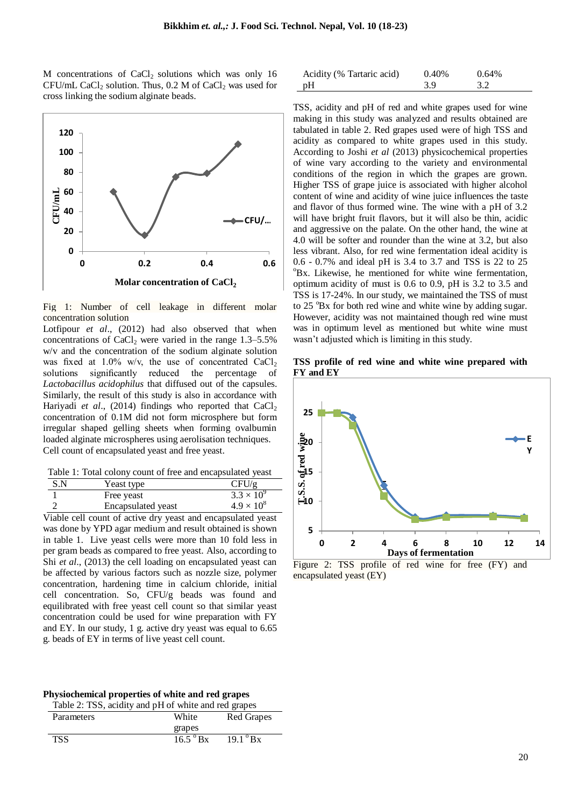M concentrations of  $CaCl<sub>2</sub>$  solutions which was only 16 CFU/mL CaCl<sub>2</sub> solution. Thus, 0.2 M of CaCl<sub>2</sub> was used for cross linking the sodium alginate beads.



Fig 1: Number of cell leakage in different molar concentration solution

Lotfipour *et al*., (2012) had also observed that when concentrations of  $CaCl<sub>2</sub>$  were varied in the range 1.3–5.5% w/v and the concentration of the sodium alginate solution was fixed at  $1.0\%$  w/v, the use of concentrated CaCl<sub>2</sub> solutions significantly reduced the percentage of *Lactobacillus acidophilus* that diffused out of the capsules. Similarly, the result of this study is also in accordance with Hariyadi *et al.*, (2014) findings who reported that  $CaCl<sub>2</sub>$ concentration of 0.1M did not form microsphere but form irregular shaped gelling sheets when forming ovalbumin loaded alginate microspheres using aerolisation techniques. Cell count of encapsulated yeast and free yeast.

Table 1: Total colony count of free and encapsulated yeast

| S.N | Yeast type                | CFU/g               |
|-----|---------------------------|---------------------|
|     | Free yeast                | $3.3 \times 10^{9}$ |
|     | <b>Encapsulated</b> yeast | $4.9 \times 10^{8}$ |

Viable cell count of active dry yeast and encapsulated yeast was done by YPD agar medium and result obtained is shown in table 1. Live yeast cells were more than 10 fold less in per gram beads as compared to free yeast. Also, according to Shi *et al*., (2013) the cell loading on encapsulated yeast can be affected by various factors such as nozzle size, polymer concentration, hardening time in calcium chloride, initial cell concentration. So, CFU/g beads was found and equilibrated with free yeast cell count so that similar yeast concentration could be used for wine preparation with FY and EY. In our study, 1 g. active dry yeast was equal to 6.65 g. beads of EY in terms of live yeast cell count.

| Physiochemical properties of white and red grapes |  |  |  |
|---------------------------------------------------|--|--|--|
|---------------------------------------------------|--|--|--|

| Table 2: TSS, acidity and pH of white and red grapes |                   |                 |  |  |
|------------------------------------------------------|-------------------|-----------------|--|--|
| Parameters                                           | White             | Red Grapes      |  |  |
|                                                      | grapes            |                 |  |  |
| TSS.                                                 | $16.5^{\circ}$ Bx | $19.1^\circ$ Bx |  |  |
|                                                      |                   |                 |  |  |

| Acidity (% Tartaric acid) | 0.40% | $0.64\%$ |
|---------------------------|-------|----------|
| pH                        | 3.9   | 3.2      |

TSS, acidity and pH of red and white grapes used for wine making in this study was analyzed and results obtained are tabulated in table 2. Red grapes used were of high TSS and acidity as compared to white grapes used in this study. According to Joshi *et al* (2013) physicochemical properties of wine vary according to the variety and environmental conditions of the region in which the grapes are grown. Higher TSS of grape juice is associated with higher alcohol content of wine and acidity of wine juice influences the taste and flavor of thus formed wine. The wine with a pH of 3.2 will have bright fruit flavors, but it will also be thin, acidic and aggressive on the palate. On the other hand, the wine at 4.0 will be softer and rounder than the wine at 3.2, but also less vibrant. Also, for red wine fermentation ideal acidity is 0.6 - 0.7% and ideal pH is 3.4 to 3.7 and TSS is 22 to 25  $\mathrm{^0Bx}$ . Likewise, he mentioned for white wine fermentation, optimum acidity of must is 0.6 to 0.9, pH is 3.2 to 3.5 and TSS is 17-24%. In our study, we maintained the TSS of must to 25 <sup>o</sup>Bx for both red wine and white wine by adding sugar. However, acidity was not maintained though red wine must was in optimum level as mentioned but white wine must wasn't adjusted which is limiting in this study.

**TSS profile of red wine and white wine prepared with FY and EY**



Figure 2: TSS profile of red wine for free (FY) and encapsulated yeast (EY)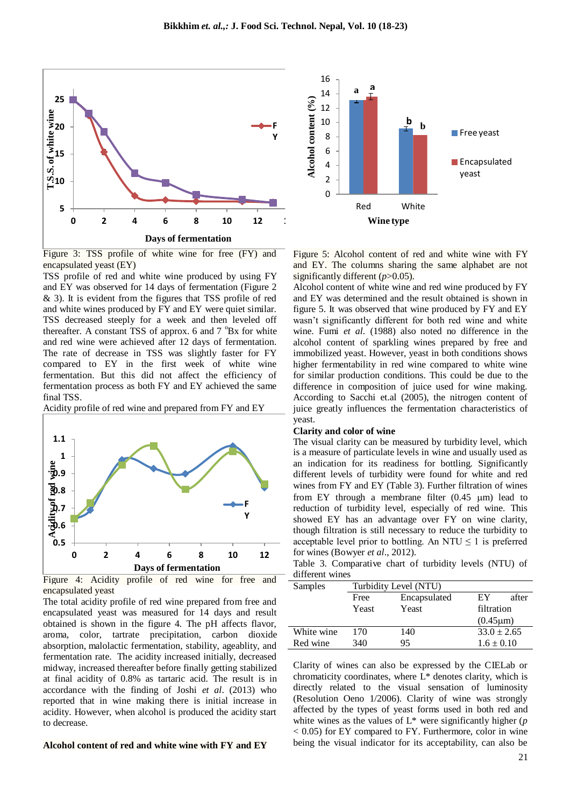



Figure 3: TSS profile of white wine for free (FY) and encapsulated yeast (EY)

TSS profile of red and white wine produced by using FY and EY was observed for 14 days of fermentation (Figure 2 & 3). It is evident from the figures that TSS profile of red and white wines produced by FY and EY were quiet similar. TSS decreased steeply for a week and then leveled off thereafter. A constant TSS of approx. 6 and  $7^{\circ}Bx$  for white and red wine were achieved after 12 days of fermentation. The rate of decrease in TSS was slightly faster for FY compared to EY in the first week of white wine fermentation. But this did not affect the efficiency of fermentation process as both FY and EY achieved the same final TSS.

Acidity profile of red wine and prepared from FY and EY



Figure 4: Acidity profile of red wine for free and encapsulated yeast

The total acidity profile of red wine prepared from free and encapsulated yeast was measured for 14 days and result obtained is shown in the figure 4. The pH affects flavor, aroma, color, tartrate precipitation, carbon dioxide absorption, malolactic fermentation, stability, ageablity, and fermentation rate. The acidity increased initially, decreased midway, increased thereafter before finally getting stabilized at final acidity of 0.8% as tartaric acid. The result is in accordance with the finding of Joshi *et al*. (2013) who reported that in wine making there is initial increase in acidity. However, when alcohol is produced the acidity start to decrease.

#### **Alcohol content of red and white wine with FY and EY**

Figure 5: Alcohol content of red and white wine with FY and EY. The columns sharing the same alphabet are not significantly different ( $p$ >0.05).

Alcohol content of white wine and red wine produced by FY and EY was determined and the result obtained is shown in figure 5. It was observed that wine produced by FY and EY wasn't significantly different for both red wine and white wine. Fumi *et al.* (1988) also noted no difference in the alcohol content of sparkling wines prepared by free and immobilized yeast. However, yeast in both conditions shows higher fermentability in red wine compared to white wine for similar production conditions. This could be due to the difference in composition of juice used for wine making. According to Sacchi et.al (2005), the nitrogen content of juice greatly influences the fermentation characteristics of yeast.

#### **Clarity and color of wine**

The visual clarity can be measured by turbidity level, which is a measure of particulate levels in wine and usually used as an indication for its readiness for bottling. Significantly different levels of turbidity were found for white and red wines from FY and EY (Table 3). Further filtration of wines from EY through a membrane filter  $(0.45 \mu m)$  lead to reduction of turbidity level, especially of red wine. This showed EY has an advantage over FY on wine clarity, though filtration is still necessary to reduce the turbidity to acceptable level prior to bottling. An NTU  $\leq 1$  is preferred for wines (Bowyer *et al*., 2012).

Table 3. Comparative chart of turbidity levels (NTU) of different wines

| Samples    | Turbidity Level (NTU) |              |                 |  |
|------------|-----------------------|--------------|-----------------|--|
|            | Free                  | Encapsulated | after<br>EY     |  |
|            | Yeast                 | Yeast        | filtration      |  |
|            |                       |              | $(0.45 \mu m)$  |  |
| White wine | 170                   | 140          | $33.0 \pm 2.65$ |  |
| Red wine   | 340                   | 95           | $1.6 \pm 0.10$  |  |
|            |                       |              |                 |  |

Clarity of wines can also be expressed by the CIELab or chromaticity coordinates, where  $L^*$  denotes clarity, which is directly related to the visual sensation of luminosity (Resolution Oeno 1/2006). Clarity of wine was strongly affected by the types of yeast forms used in both red and white wines as the values of L\* were significantly higher (*p* < 0.05) for EY compared to FY. Furthermore, color in wine being the visual indicator for its acceptability, can also be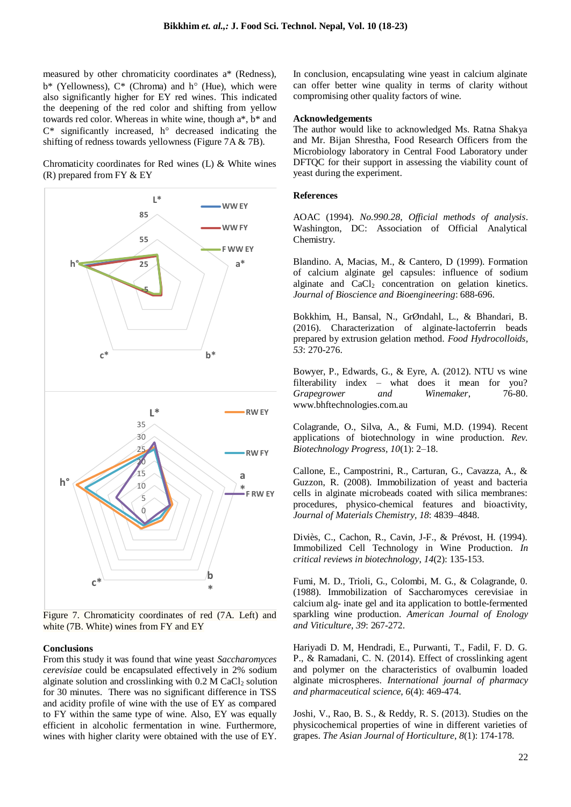measured by other chromaticity coordinates a\* (Redness),  $b^*$  (Yellowness),  $C^*$  (Chroma) and  $h^{\circ}$  (Hue), which were also significantly higher for EY red wines. This indicated the deepening of the red color and shifting from yellow towards red color. Whereas in white wine, though a\*, b\* and  $C^*$  significantly increased,  $h^{\circ}$  decreased indicating the shifting of redness towards yellowness (Figure 7A & 7B).

Chromaticity coordinates for Red wines (L) & White wines  $(R)$  prepared from FY  $&$  EY



Figure 7. Chromaticity coordinates of red (7A. Left) and white (7B. White) wines from FY and EY

### **Conclusions**

From this study it was found that wine yeast *Saccharomyces cerevisiae* could be encapsulated effectively in 2% sodium alginate solution and crosslinking with  $0.2$  M CaCl<sub>2</sub> solution for 30 minutes. There was no significant difference in TSS and acidity profile of wine with the use of EY as compared to FY within the same type of wine. Also, EY was equally efficient in alcoholic fermentation in wine. Furthermore, wines with higher clarity were obtained with the use of EY.

In conclusion, encapsulating wine yeast in calcium alginate can offer better wine quality in terms of clarity without compromising other quality factors of wine.

#### **Acknowledgements**

The author would like to acknowledged Ms. Ratna Shakya and Mr. Bijan Shrestha, Food Research Officers from the Microbiology laboratory in Central Food Laboratory under DFTQC for their support in assessing the viability count of yeast during the experiment.

#### **References**

AOAC (1994). *No.990.28*, *Official methods of analysis*. Washington, DC: Association of Official Analytical Chemistry.

Blandino. A, Macias, M., & Cantero, D (1999). Formation of calcium alginate gel capsules: influence of sodium alginate and  $CaCl<sub>2</sub>$  concentration on gelation kinetics. *Journal of Bioscience and Bioengineering*: 688-696.

Bokkhim, H., Bansal, N., GrØndahl, L., & Bhandari, B. (2016). Characterization of alginate-lactoferrin beads prepared by extrusion gelation method. *Food Hydrocolloids, 53*: 270-276.

Bowyer, P., Edwards, G., & Eyre, A. (2012). NTU vs wine filterability index – what does it mean for you?<br>Grapegrower and Winemaker, 76-80. *Grapegrower and* www.bhftechnologies.com.au

Colagrande, O., Silva, A., & Fumi, M.D. (1994). Recent applications of biotechnology in wine production. *Rev. Biotechnology Progress, 10*(1): 2–18.

Callone, E., Campostrini, R., Carturan, G., Cavazza, A., & Guzzon, R. (2008). Immobilization of yeast and bacteria cells in alginate microbeads coated with silica membranes: procedures, physico-chemical features and bioactivity, *Journal of Materials Chemistry, 18*: 4839–4848.

Diviès, C., Cachon, R., Cavin, J-F., & Prévost, H. (1994). Immobilized Cell Technology in Wine Production. *In critical reviews in biotechnology*, *14*(2): 135-153.

Fumi, M. D., Trioli, G., Colombi, M. G., & Colagrande, 0. (1988). Immobilization of Saccharomyces cerevisiae in calcium alg- inate gel and ita application to bottle-fermented sparkling wine production. *American Journal of Enology and Viticulture*, *39*: 267-272.

Hariyadi D. M, Hendradi, E., Purwanti, T., Fadil, F. D. G. P., & Ramadani, C. N. (2014). Effect of crosslinking agent and polymer on the characteristics of ovalbumin loaded alginate microspheres. *International journal of pharmacy and pharmaceutical science, 6*(4): 469-474.

Joshi, V., Rao, B. S., & Reddy, R. S. (2013). Studies on the physicochemical properties of wine in different varieties of grapes. *The Asian Journal of Horticulture*, *8*(1): 174-178.